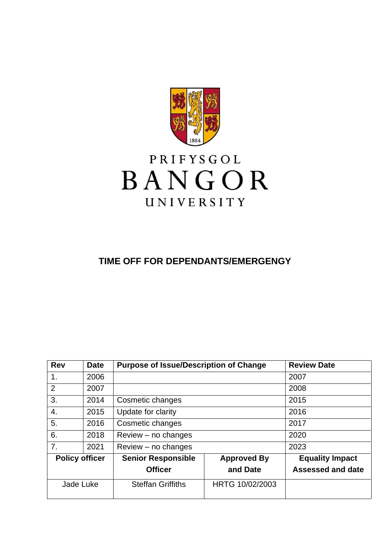

# PRIFYSGOL BANGOR UNIVERSITY

# **TIME OFF FOR DEPENDANTS/EMERGENGY**

| <b>Rev</b>            | <b>Date</b> | <b>Purpose of Issue/Description of Change</b> |                    | <b>Review Date</b>       |
|-----------------------|-------------|-----------------------------------------------|--------------------|--------------------------|
| 1.                    | 2006        |                                               |                    | 2007                     |
| 2                     | 2007        |                                               |                    | 2008                     |
| 3.                    | 2014        | Cosmetic changes                              |                    | 2015                     |
| 4.                    | 2015        | Update for clarity                            |                    | 2016                     |
| 5.                    | 2016        | Cosmetic changes                              |                    | 2017                     |
| 6.                    | 2018        | $Review - no changes$                         |                    | 2020                     |
| 7.                    | 2021        | $Review - no changes$                         |                    | 2023                     |
| <b>Policy officer</b> |             | <b>Senior Responsible</b>                     | <b>Approved By</b> | <b>Equality Impact</b>   |
|                       |             | <b>Officer</b>                                | and Date           | <b>Assessed and date</b> |
| Jade Luke             |             | <b>Steffan Griffiths</b>                      | HRTG 10/02/2003    |                          |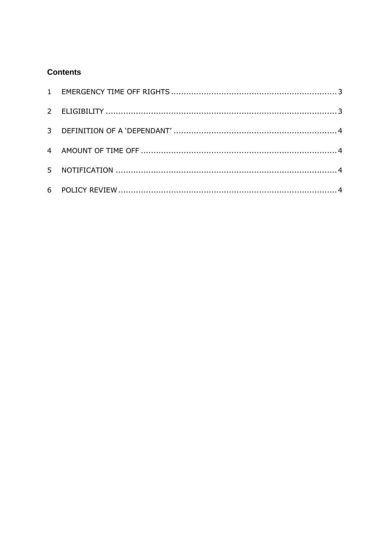# **Contents**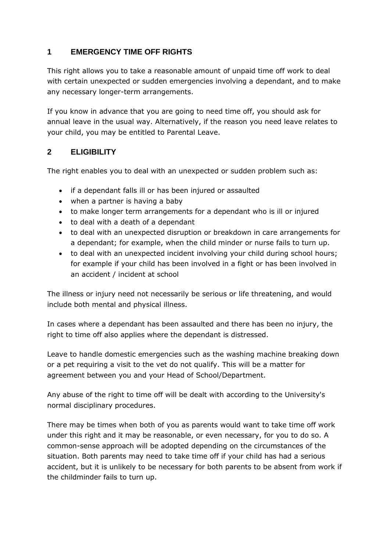## <span id="page-2-0"></span>**1 EMERGENCY TIME OFF RIGHTS**

This right allows you to take a reasonable amount of unpaid time off work to deal with certain unexpected or sudden emergencies involving a dependant, and to make any necessary longer-term arrangements.

If you know in advance that you are going to need time off, you should ask for annual leave in the usual way. Alternatively, if the reason you need leave relates to your child, you may be entitled to Parental Leave.

#### <span id="page-2-1"></span>**2 ELIGIBILITY**

The right enables you to deal with an unexpected or sudden problem such as:

- if a dependant falls ill or has been injured or assaulted
- when a partner is having a baby
- to make longer term arrangements for a dependant who is ill or injured
- to deal with a death of a dependant
- to deal with an unexpected disruption or breakdown in care arrangements for a dependant; for example, when the child minder or nurse fails to turn up.
- to deal with an unexpected incident involving your child during school hours; for example if your child has been involved in a fight or has been involved in an accident / incident at school

The illness or injury need not necessarily be serious or life threatening, and would include both mental and physical illness.

In cases where a dependant has been assaulted and there has been no injury, the right to time off also applies where the dependant is distressed.

Leave to handle domestic emergencies such as the washing machine breaking down or a pet requiring a visit to the vet do not qualify. This will be a matter for agreement between you and your Head of School/Department.

Any abuse of the right to time off will be dealt with according to the University's normal disciplinary procedures.

There may be times when both of you as parents would want to take time off work under this right and it may be reasonable, or even necessary, for you to do so. A common-sense approach will be adopted depending on the circumstances of the situation. Both parents may need to take time off if your child has had a serious accident, but it is unlikely to be necessary for both parents to be absent from work if the childminder fails to turn up.